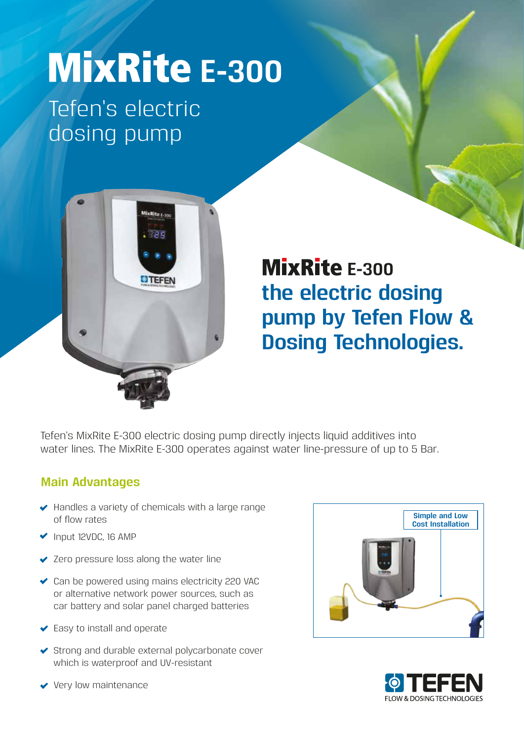# **MixRite E-300**

Tefen's electric dosing pump



# **the electric dosing pump by Tefen Flow & Dosing Technologies. MixRite E-300**

Tefen's MixRite E-300 electric dosing pump directly injects liquid additives into water lines. The MixRite E-300 operates against water line-pressure of up to 5 Bar.

#### **Main Advantages**

- $\blacktriangleright$  Handles a variety of chemicals with a large range of flow rates
- Input 12VDC, 16 AMP
- ◆ Zero pressure loss along the water line
- ◆ Can be powered using mains electricity 220 VAC or alternative network power sources, such as car battery and solar panel charged batteries
- Easy to install and operate
- ◆ Strong and durable external polycarbonate cover which is waterproof and UV-resistant





Very low maintenance